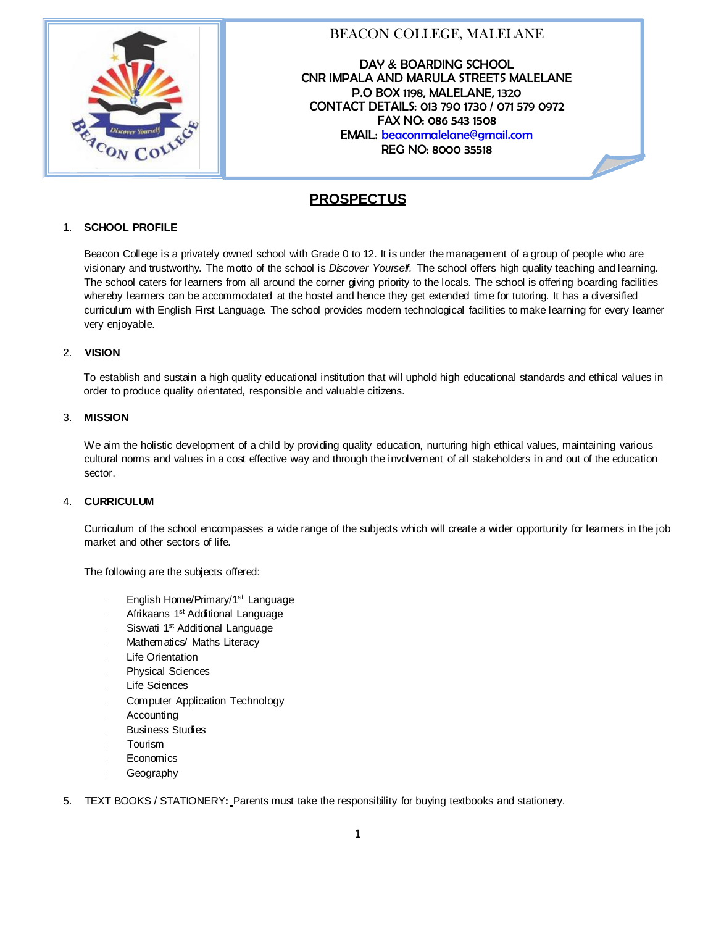

# BEACON COLLEGE, MALELANE

DAY & BOARDING SCHOOL CNR IMPALA AND MARULA STREETS MALELANE P.O BOX 1198, MALELANE, 1320 CONTACT DETAILS: 013 790 1730 / 071 579 0972 FAX NO: 086 543 1508 EMAIL: [beaconmalelane@gmail.com](mailto:beaconmalelane@gmail.com) REG NO: 8000 35518

# **PROSPECTUS**

### 1. **SCHOOL PROFILE**

Beacon College is a privately owned school with Grade 0 to 12. It is under the management of a group of people who are visionary and trustworthy. The motto of the school is *Discover Yourself.* The school offers high quality teaching and learning. The school caters for learners from all around the corner giving priority to the locals. The school is offering boarding facilities whereby learners can be accommodated at the hostel and hence they get extended time for tutoring. It has a diversified curriculum with English First Language. The school provides modern technological facilities to make learning for every learner very enjoyable.

### 2. **VISION**

To establish and sustain a high quality educational institution that will uphold high educational standards and ethical values in order to produce quality orientated, responsible and valuable citizens.

### 3. **MISSION**

We aim the holistic development of a child by providing quality education, nurturing high ethical values, maintaining various cultural norms and values in a cost effective way and through the involvement of all stakeholders in and out of the education sector.

### 4. **CURRICULUM**

Curriculum of the school encompasses a wide range of the subjects which will create a wider opportunity for learners in the job market and other sectors of life.

### The following are the subjects offered:

- English Home/Primary/1<sup>st</sup> Language
- Afrikaans 1<sup>st</sup> Additional Language
- Siswati 1<sup>st</sup> Additional Language
- Mathematics/ Maths Literacy
- Life Orientation
- Physical Sciences
- Life Sciences
- Computer Application Technology
- **Accounting**
- Business Studies
- Tourism
- **Economics**
- Geography
- 5. TEXT BOOKS / STATIONERY**:** Parents must take the responsibility for buying textbooks and stationery.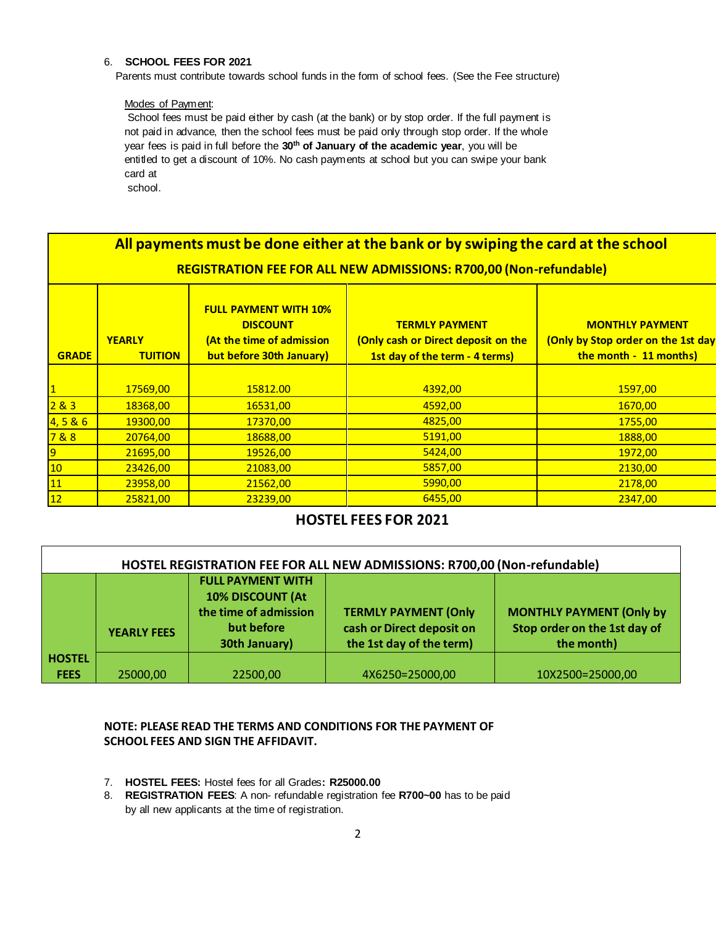### 6. **SCHOOL FEES FOR 2021**

Parents must contribute towards school funds in the form of school fees. (See the Fee structure)

#### Modes of Payment:

School fees must be paid either by cash (at the bank) or by stop order. If the full payment is not paid in advance, then the school fees must be paid only through stop order. If the whole year fees is paid in full before the **30 th of January of the academic year**, you will be entitled to get a discount of 10%. No cash payments at school but you can swipe your bank card at

school.

| All payments must be done either at the bank or by swiping the card at the school |                                 |                                                                                                          |                                                                                                |                                                                                        |  |  |  |
|-----------------------------------------------------------------------------------|---------------------------------|----------------------------------------------------------------------------------------------------------|------------------------------------------------------------------------------------------------|----------------------------------------------------------------------------------------|--|--|--|
| REGISTRATION FEE FOR ALL NEW ADMISSIONS: R700,00 (Non-refundable)                 |                                 |                                                                                                          |                                                                                                |                                                                                        |  |  |  |
| <b>GRADE</b>                                                                      | <b>YEARLY</b><br><b>TUITION</b> | <b>FULL PAYMENT WITH 10%</b><br><b>DISCOUNT</b><br>(At the time of admission<br>but before 30th January) | <b>TERMLY PAYMENT</b><br>(Only cash or Direct deposit on the<br>1st day of the term - 4 terms) | <b>MONTHLY PAYMENT</b><br>(Only by Stop order on the 1st day<br>the month - 11 months) |  |  |  |
|                                                                                   |                                 |                                                                                                          |                                                                                                |                                                                                        |  |  |  |
|                                                                                   | 17569,00                        | 15812.00                                                                                                 | 4392,00                                                                                        | 1597,00                                                                                |  |  |  |
| 283                                                                               | 18368,00                        | 16531,00                                                                                                 | 4592,00                                                                                        | 1670,00                                                                                |  |  |  |
| 4, 5 & 6                                                                          | 19300,00                        | 17370,00                                                                                                 | 4825,00                                                                                        | 1755,00                                                                                |  |  |  |
| 7&8                                                                               | 20764,00                        | 18688,00                                                                                                 | 5191,00                                                                                        | 1888,00                                                                                |  |  |  |
| 9                                                                                 | 21695,00                        | 19526,00                                                                                                 | 5424,00                                                                                        | 1972,00                                                                                |  |  |  |
| 10                                                                                | 23426,00                        | 21083,00                                                                                                 | 5857,00                                                                                        | 2130,00                                                                                |  |  |  |
| 11                                                                                | 23958,00                        | 21562,00                                                                                                 | 5990,00                                                                                        | 2178,00                                                                                |  |  |  |
| 12                                                                                | 25821,00                        | 23239,00                                                                                                 | 6455,00                                                                                        | 2347,00                                                                                |  |  |  |

## **HOSTEL FEES FOR 2021**

| HOSTEL REGISTRATION FEE FOR ALL NEW ADMISSIONS: R700,00 (Non-refundable) |                    |                                                                                                             |                                                                                      |                                                                               |  |  |  |
|--------------------------------------------------------------------------|--------------------|-------------------------------------------------------------------------------------------------------------|--------------------------------------------------------------------------------------|-------------------------------------------------------------------------------|--|--|--|
|                                                                          | <b>YEARLY FEES</b> | <b>FULL PAYMENT WITH</b><br><b>10% DISCOUNT (At</b><br>the time of admission<br>but before<br>30th January) | <b>TERMLY PAYMENT (Only</b><br>cash or Direct deposit on<br>the 1st day of the term) | <b>MONTHLY PAYMENT (Only by</b><br>Stop order on the 1st day of<br>the month) |  |  |  |
| <b>HOSTEL</b><br><b>FEES</b>                                             | 25000,00           | 22500,00                                                                                                    | 4X6250=25000,00                                                                      | 10X2500=25000,00                                                              |  |  |  |

### **NOTE: PLEASE READ THE TERMS AND CONDITIONS FOR THE PAYMENT OF SCHOOL FEES AND SIGN THE AFFIDAVIT.**

- 7. **HOSTEL FEES:** Hostel fees for all Grades**: R25000.00**
- 8. **REGISTRATION FEES**: A non- refundable registration fee **R700~00** has to be paid by all new applicants at the time of registration.